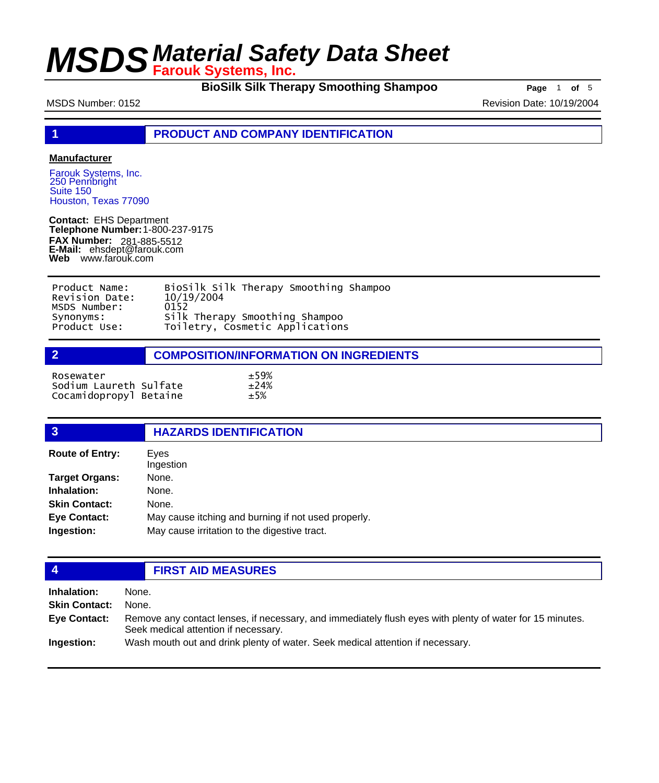**BioSilk Silk Therapy Smoothing Shampoo Page** 1 of 5

MSDS Number: 0152 **Revision Date: 10/19/2004** Revision Date: 10/19/2004

**1 PRODUCT AND COMPANY IDENTIFICATION**

### **Manufacturer**

Farouk Systems, Inc. 250 Pennbright Suite 150 Houston, Texas 77090

**Contact:** EHS Department **Telephone Number:** 1-800-237-9175 **FAX Number: FAX Number:** 281-885-5512<br>**E-Mail:** ehsdept@farouk.com **Web** www.farouk.com

| Product Name:  | BioSilk Silk Therapy Smoothing Shampoo |
|----------------|----------------------------------------|
| Revision Date: | 10/19/2004                             |
| MSDS Number:   | 0152                                   |
| Synonyms:      | Silk Therapy Smoothing Shampoo         |
| Product Use:   | Toiletry, Cosmetic Applications        |

| <b>COMPOSITION/INFORMATION ON INGREDIENTS</b> |
|-----------------------------------------------|
|                                               |

| Rosewater              | ±59%  |
|------------------------|-------|
| Sodium Laureth Sulfate | ±24%  |
| Cocamidopropyl Betaine | $+5%$ |

### **3 HAZARDS IDENTIFICATION** Eyes **Route of Entry:**

| n                     | ᄂ៴ငᇰ                                                |
|-----------------------|-----------------------------------------------------|
|                       | Ingestion                                           |
| <b>Target Organs:</b> | None.                                               |
| Inhalation:           | None.                                               |
| <b>Skin Contact:</b>  | None.                                               |
| <b>Eye Contact:</b>   | May cause itching and burning if not used properly. |
| Ingestion:            | May cause irritation to the digestive tract.        |
|                       |                                                     |

## **4 FIRST AID MEASURES**

| <b>Inhalation:</b>   | None.                                                                                                                                            |
|----------------------|--------------------------------------------------------------------------------------------------------------------------------------------------|
| <b>Skin Contact:</b> | None.                                                                                                                                            |
| Eye Contact:         | Remove any contact lenses, if necessary, and immediately flush eyes with plenty of water for 15 minutes.<br>Seek medical attention if necessary. |
| Ingestion:           | Wash mouth out and drink plenty of water. Seek medical attention if necessary.                                                                   |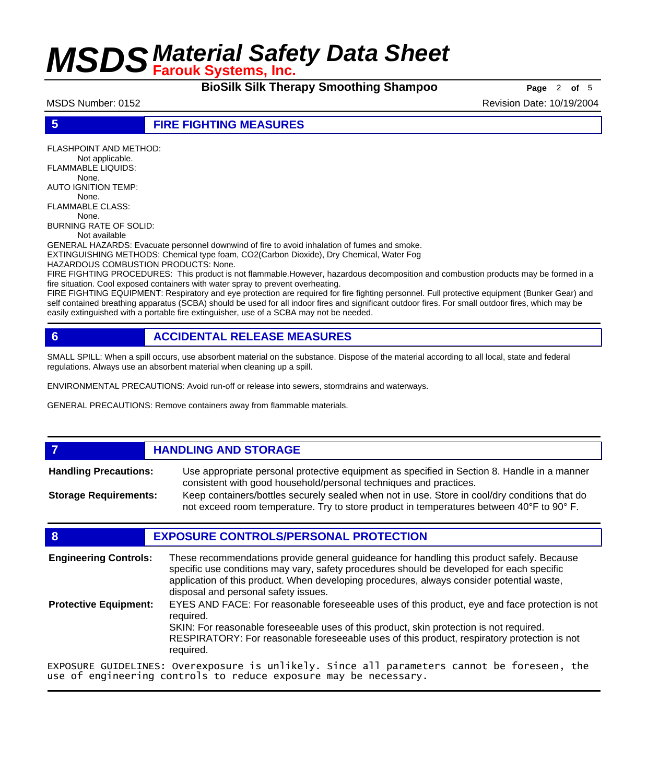**BioSilk Silk Therapy Smoothing Shampoo Page** 2 of 5

MSDS Number: 0152 **Revision Date: 10/19/2004** Revision Date: 10/19/2004

**5 FIRE FIGHTING MEASURES**

FLASHPOINT AND METHOD: Not applicable. FLAMMABLE LIQUIDS: None. AUTO IGNITION TEMP: None. FLAMMABLE CLASS: None. BURNING RATE OF SOLID: Not available GENERAL HAZARDS: Evacuate personnel downwind of fire to avoid inhalation of fumes and smoke. EXTINGUISHING METHODS: Chemical type foam, CO2(Carbon Dioxide), Dry Chemical, Water Fog HAZARDOUS COMBUSTION PRODUCTS: None. FIRE FIGHTING PROCEDURES: This product is not flammable.However, hazardous decomposition and combustion products may be formed in a fire situation. Cool exposed containers with water spray to prevent overheating.

FIRE FIGHTING EQUIPMENT: Respiratory and eye protection are required for fire fighting personnel. Full protective equipment (Bunker Gear) and self contained breathing apparatus (SCBA) should be used for all indoor fires and significant outdoor fires. For small outdoor fires, which may be easily extinguished with a portable fire extinguisher, use of a SCBA may not be needed.

## **6 ACCIDENTAL RELEASE MEASURES**

SMALL SPILL: When a spill occurs, use absorbent material on the substance. Dispose of the material according to all local, state and federal regulations. Always use an absorbent material when cleaning up a spill.

ENVIRONMENTAL PRECAUTIONS: Avoid run-off or release into sewers, stormdrains and waterways.

GENERAL PRECAUTIONS: Remove containers away from flammable materials.

## *HANDLING AND STORAGE*

Use appropriate personal protective equipment as specified in Section 8. Handle in a manner consistent with good household/personal techniques and practices. **Handling Precautions:** Keep containers/bottles securely sealed when not in use. Store in cool/dry conditions that do **Storage Requirements:**

not exceed room temperature. Try to store product in temperatures between 40°F to 90° F.

### **8 EXPOSURE CONTROLS/PERSONAL PROTECTION**

These recommendations provide general guideance for handling this product safely. Because specific use conditions may vary, safety procedures should be developed for each specific application of this product. When developing procedures, always consider potential waste, disposal and personal safety issues. **Engineering Controls:** EYES AND FACE: For reasonable foreseeable uses of this product, eye and face protection is not required. SKIN: For reasonable foreseeable uses of this product, skin protection is not required. RESPIRATORY: For reasonable foreseeable uses of this product, respiratory protection is not required. **Protective Equipment:** EXPOSURE GUIDELINES: Overexposure is unlikely. Since all parameters cannot be foreseen, the

use of engineering controls to reduce exposure may be necessary.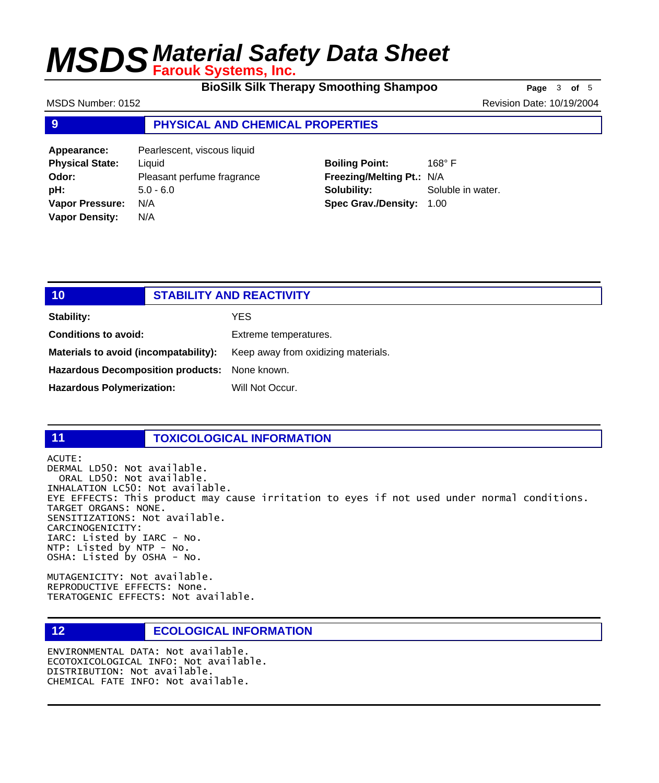**BioSilk Silk Therapy Smoothing Shampoo Page** 3 of 5

MSDS Number: 0152 **Revision Date: 10/19/2004** Revision Date: 10/19/2004

### **9 PHYSICAL AND CHEMICAL PROPERTIES**

**Appearance:** Pearlescent, viscous liquid **Physical State:** Liquid **Odor:** Pleasant perfume fragrance **pH:** 5.0 - 6.0 **Vapor Pressure:** N/A **Vapor Density:** N/A

## **Boiling Point:** 168° F **Freezing/Melting Pt.:** N/A **Solubility:** Soluble in water. **Spec Grav./Density:** 1.00

| 10                                            | <b>STABILITY AND REACTIVITY</b> |                                     |
|-----------------------------------------------|---------------------------------|-------------------------------------|
| Stability:                                    |                                 | YES                                 |
| <b>Conditions to avoid:</b>                   |                                 | Extreme temperatures.               |
| Materials to avoid (incompatability):         |                                 | Keep away from oxidizing materials. |
| Hazardous Decomposition products: None known. |                                 |                                     |
| <b>Hazardous Polymerization:</b>              |                                 | Will Not Occur.                     |

## **11 TOXICOLOGICAL INFORMATION**

ACUTE: DERMAL LD50: Not available. ORAL LD50: Not available. INHALATION LC50: Not available. EYE EFFECTS: This product may cause irritation to eyes if not used under normal conditions. TARGET ORGANS: NONE. SENSITIZATIONS: Not available. CARCINOGENICITY: IARC: Listed by IARC - No. NTP: Listed by NTP - No. OSHA: Listed by OSHA - No.

MUTAGENICITY: Not available. REPRODUCTIVE EFFECTS: None. TERATOGENIC EFFECTS: Not available.

## **12 ECOLOGICAL INFORMATION**

ENVIRONMENTAL DATA: Not available. ECOTOXICOLOGICAL INFO: Not available. DISTRIBUTION: Not available. CHEMICAL FATE INFO: Not available.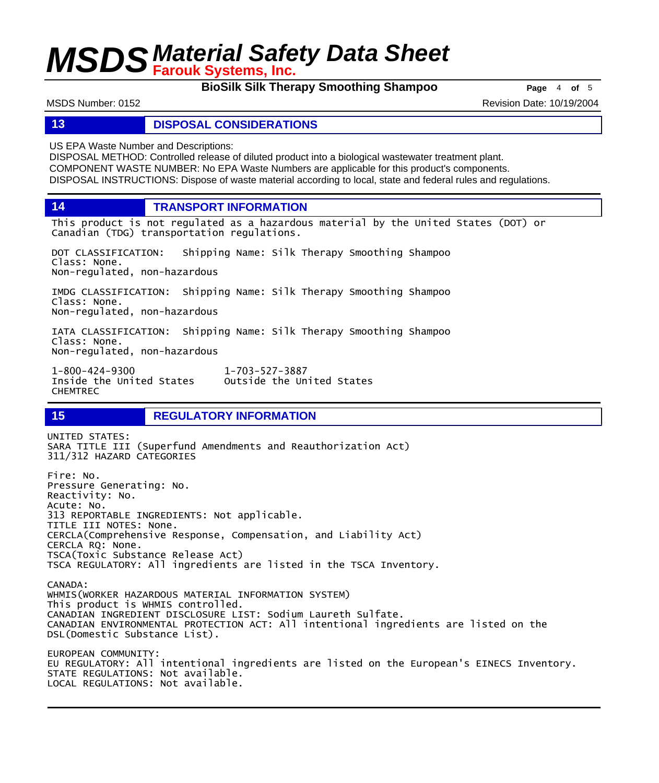**BioSilk Silk Therapy Smoothing Shampoo Page** 4 of 5

MSDS Number: 0152 **Revision Date: 10/19/2004** Revision Date: 10/19/2004

### **13 DISPOSAL CONSIDERATIONS**

US EPA Waste Number and Descriptions:

DISPOSAL METHOD: Controlled release of diluted product into a biological wastewater treatment plant. COMPONENT WASTE NUMBER: No EPA Waste Numbers are applicable for this product's components. DISPOSAL INSTRUCTIONS: Dispose of waste material according to local, state and federal rules and regulations.

**14 TRANSPORT INFORMATION**

This product is not regulated as a hazardous material by the United States (DOT) or Canadian (TDG) transportation regulations.

DOT CLASSIFICATION: Shipping Name: Silk Therapy Smoothing Shampoo Class: None. Non-regulated, non-hazardous

IMDG CLASSIFICATION: Shipping Name: Silk Therapy Smoothing Shampoo Class: None. Non-regulated, non-hazardous

IATA CLASSIFICATION: Shipping Name: Silk Therapy Smoothing Shampoo Class: None. Non-regulated, non-hazardous

1-800-424-9300 1-703-527-3887 Outside the United States CHEMTREC

## **15 REGULATORY INFORMATION**

UNITED STATES: SARA TITLE III (Superfund Amendments and Reauthorization Act) 311/312 HAZARD CATEGORIES Fire: No. Pressure Generating: No. Reactivity: No. Acute: No. 313 REPORTABLE INGREDIENTS: Not applicable. TITLE III NOTES: None. CERCLA(Comprehensive Response, Compensation, and Liability Act) CERCLA RQ: None. TSCA(Toxic Substance Release Act) TSCA REGULATORY: All ingredients are listed in the TSCA Inventory. CANADA: WHMIS(WORKER HAZARDOUS MATERIAL INFORMATION SYSTEM) This product is WHMIS controlled. CANADIAN INGREDIENT DISCLOSURE LIST: Sodium Laureth Sulfate. CANADIAN ENVIRONMENTAL PROTECTION ACT: All intentional ingredients are listed on the DSL(Domestic Substance List). EUROPEAN COMMUNITY: EU REGULATORY: All intentional ingredients are listed on the European's EINECS Inventory. STATE REGULATIONS: Not available.

LOCAL REGULATIONS: Not available.